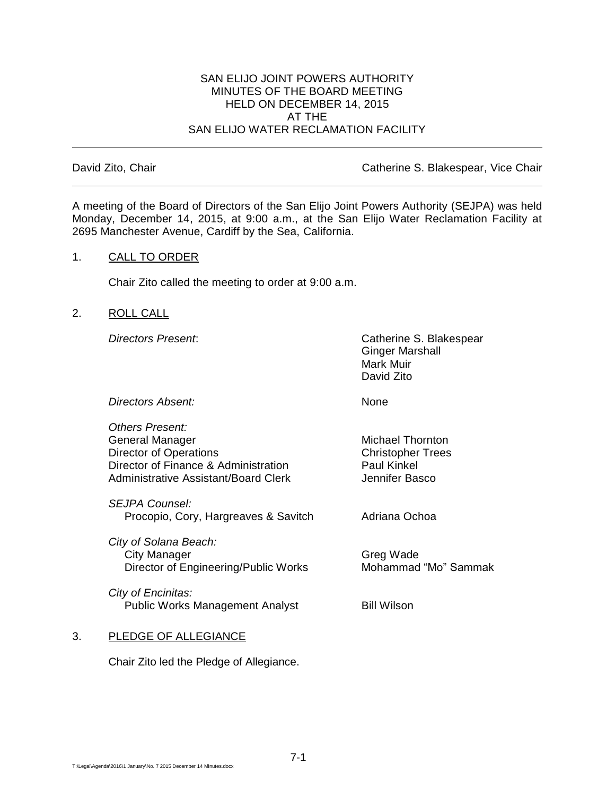#### SAN ELIJO JOINT POWERS AUTHORITY MINUTES OF THE BOARD MEETING HELD ON DECEMBER 14, 2015 AT THE SAN ELIJO WATER RECLAMATION FACILITY

David Zito, Chair **Catherine S. Blakespear, Vice Chair** Catherine S. Blakespear, Vice Chair

A meeting of the Board of Directors of the San Elijo Joint Powers Authority (SEJPA) was held Monday, December 14, 2015, at 9:00 a.m., at the San Elijo Water Reclamation Facility at 2695 Manchester Avenue, Cardiff by the Sea, California.

### 1. CALL TO ORDER

Chair Zito called the meeting to order at 9:00 a.m.

2. ROLL CALL

*Directors Present*: Catherine S. Blakespear Ginger Marshall Mark Muir David Zito

*Directors Absent:* None

*Others Present:* General Manager Michael Thornton Director of Operations Christopher Trees Director of Finance & Administration Paul Kinkel Administrative Assistant/Board Clerk The Multiple of Hennifer Basco

*SEJPA Counsel:* Procopio, Cory, Hargreaves & Savitch Adriana Ochoa

*City of Solana Beach:* City Manager Greg Wade Director of Engineering/Public Works Mohammad "Mo" Sammak

*City of Encinitas:* Public Works Management Analyst Bill Wilson

# 3. PLEDGE OF ALLEGIANCE

Chair Zito led the Pledge of Allegiance.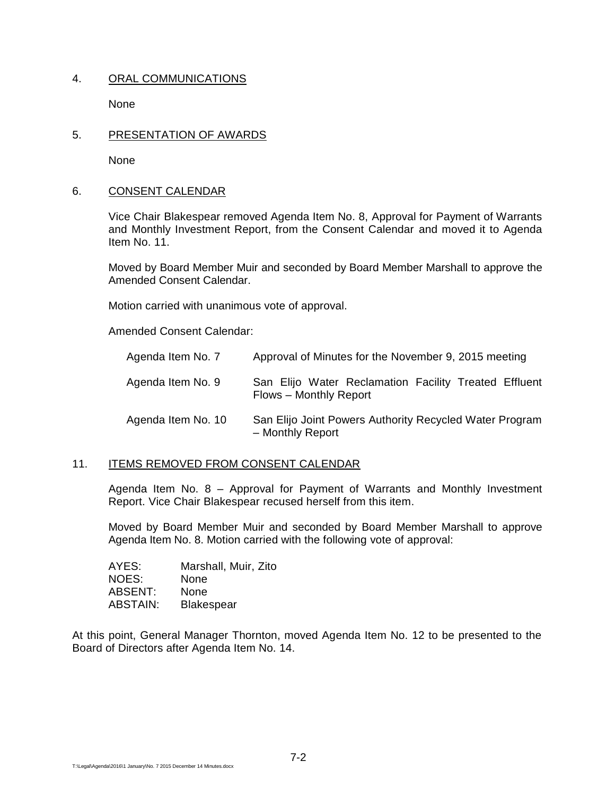### 4. ORAL COMMUNICATIONS

None

### 5. PRESENTATION OF AWARDS

None

### 6. CONSENT CALENDAR

Vice Chair Blakespear removed Agenda Item No. 8, Approval for Payment of Warrants and Monthly Investment Report, from the Consent Calendar and moved it to Agenda Item No. 11.

Moved by Board Member Muir and seconded by Board Member Marshall to approve the Amended Consent Calendar.

Motion carried with unanimous vote of approval.

Amended Consent Calendar:

| Agenda Item No. 7  | Approval of Minutes for the November 9, 2015 meeting                            |
|--------------------|---------------------------------------------------------------------------------|
| Agenda Item No. 9  | San Elijo Water Reclamation Facility Treated Effluent<br>Flows - Monthly Report |
| Agenda Item No. 10 | San Elijo Joint Powers Authority Recycled Water Program<br>- Monthly Report     |

#### 11. ITEMS REMOVED FROM CONSENT CALENDAR

Agenda Item No. 8 – Approval for Payment of Warrants and Monthly Investment Report. Vice Chair Blakespear recused herself from this item.

Moved by Board Member Muir and seconded by Board Member Marshall to approve Agenda Item No. 8. Motion carried with the following vote of approval:

| AYES:    | Marshall, Muir, Zito |
|----------|----------------------|
| NOES:    | None                 |
| ABSENT:  | None                 |
| ABSTAIN: | <b>Blakespear</b>    |

At this point, General Manager Thornton, moved Agenda Item No. 12 to be presented to the Board of Directors after Agenda Item No. 14.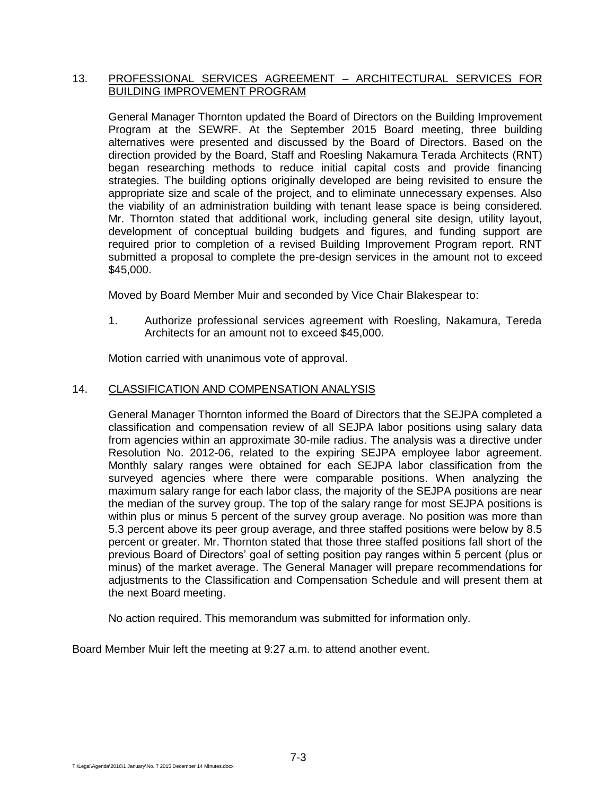## 13. PROFESSIONAL SERVICES AGREEMENT - ARCHITECTURAL SERVICES FOR BUILDING IMPROVEMENT PROGRAM

General Manager Thornton updated the Board of Directors on the Building Improvement Program at the SEWRF. At the September 2015 Board meeting, three building alternatives were presented and discussed by the Board of Directors. Based on the direction provided by the Board, Staff and Roesling Nakamura Terada Architects (RNT) began researching methods to reduce initial capital costs and provide financing strategies. The building options originally developed are being revisited to ensure the appropriate size and scale of the project, and to eliminate unnecessary expenses. Also the viability of an administration building with tenant lease space is being considered. Mr. Thornton stated that additional work, including general site design, utility layout, development of conceptual building budgets and figures, and funding support are required prior to completion of a revised Building Improvement Program report. RNT submitted a proposal to complete the pre-design services in the amount not to exceed \$45,000.

Moved by Board Member Muir and seconded by Vice Chair Blakespear to:

1. Authorize professional services agreement with Roesling, Nakamura, Tereda Architects for an amount not to exceed \$45,000.

Motion carried with unanimous vote of approval.

### 14. CLASSIFICATION AND COMPENSATION ANALYSIS

General Manager Thornton informed the Board of Directors that the SEJPA completed a classification and compensation review of all SEJPA labor positions using salary data from agencies within an approximate 30-mile radius. The analysis was a directive under Resolution No. 2012-06, related to the expiring SEJPA employee labor agreement. Monthly salary ranges were obtained for each SEJPA labor classification from the surveyed agencies where there were comparable positions. When analyzing the maximum salary range for each labor class, the majority of the SEJPA positions are near the median of the survey group. The top of the salary range for most SEJPA positions is within plus or minus 5 percent of the survey group average. No position was more than 5.3 percent above its peer group average, and three staffed positions were below by 8.5 percent or greater. Mr. Thornton stated that those three staffed positions fall short of the previous Board of Directors' goal of setting position pay ranges within 5 percent (plus or minus) of the market average. The General Manager will prepare recommendations for adjustments to the Classification and Compensation Schedule and will present them at the next Board meeting.

No action required. This memorandum was submitted for information only.

Board Member Muir left the meeting at 9:27 a.m. to attend another event.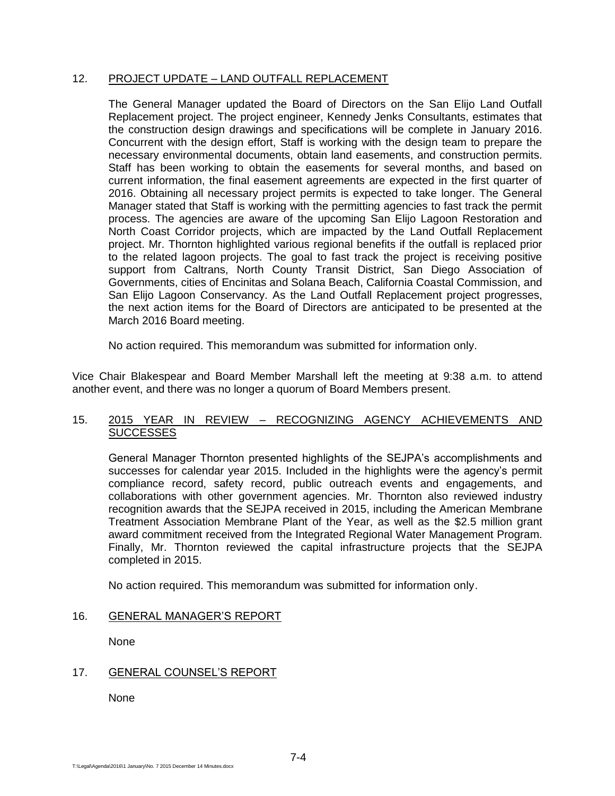# 12. PROJECT UPDATE – LAND OUTFALL REPLACEMENT

The General Manager updated the Board of Directors on the San Elijo Land Outfall Replacement project. The project engineer, Kennedy Jenks Consultants, estimates that the construction design drawings and specifications will be complete in January 2016. Concurrent with the design effort, Staff is working with the design team to prepare the necessary environmental documents, obtain land easements, and construction permits. Staff has been working to obtain the easements for several months, and based on current information, the final easement agreements are expected in the first quarter of 2016. Obtaining all necessary project permits is expected to take longer. The General Manager stated that Staff is working with the permitting agencies to fast track the permit process. The agencies are aware of the upcoming San Elijo Lagoon Restoration and North Coast Corridor projects, which are impacted by the Land Outfall Replacement project. Mr. Thornton highlighted various regional benefits if the outfall is replaced prior to the related lagoon projects. The goal to fast track the project is receiving positive support from Caltrans, North County Transit District, San Diego Association of Governments, cities of Encinitas and Solana Beach, California Coastal Commission, and San Elijo Lagoon Conservancy. As the Land Outfall Replacement project progresses, the next action items for the Board of Directors are anticipated to be presented at the March 2016 Board meeting.

No action required. This memorandum was submitted for information only.

Vice Chair Blakespear and Board Member Marshall left the meeting at 9:38 a.m. to attend another event, and there was no longer a quorum of Board Members present.

## 15. 2015 YEAR IN REVIEW – RECOGNIZING AGENCY ACHIEVEMENTS AND **SUCCESSES**

General Manager Thornton presented highlights of the SEJPA's accomplishments and successes for calendar year 2015. Included in the highlights were the agency's permit compliance record, safety record, public outreach events and engagements, and collaborations with other government agencies. Mr. Thornton also reviewed industry recognition awards that the SEJPA received in 2015, including the American Membrane Treatment Association Membrane Plant of the Year, as well as the \$2.5 million grant award commitment received from the Integrated Regional Water Management Program. Finally, Mr. Thornton reviewed the capital infrastructure projects that the SEJPA completed in 2015.

No action required. This memorandum was submitted for information only.

## 16. GENERAL MANAGER'S REPORT

None

## 17. GENERAL COUNSEL'S REPORT

None